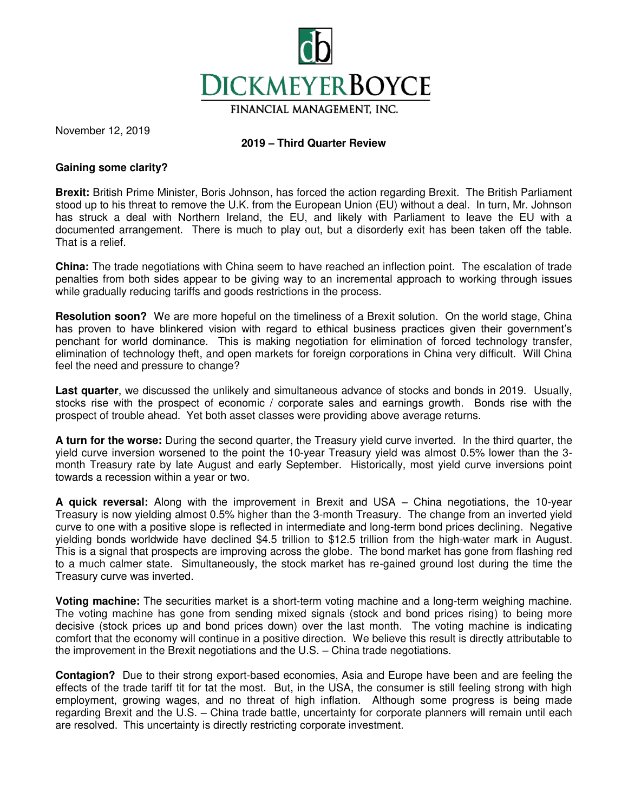

November 12, 2019

# **2019 – Third Quarter Review**

## **Gaining some clarity?**

**Brexit:** British Prime Minister, Boris Johnson, has forced the action regarding Brexit. The British Parliament stood up to his threat to remove the U.K. from the European Union (EU) without a deal. In turn, Mr. Johnson has struck a deal with Northern Ireland, the EU, and likely with Parliament to leave the EU with a documented arrangement. There is much to play out, but a disorderly exit has been taken off the table. That is a relief.

**China:** The trade negotiations with China seem to have reached an inflection point. The escalation of trade penalties from both sides appear to be giving way to an incremental approach to working through issues while gradually reducing tariffs and goods restrictions in the process.

**Resolution soon?** We are more hopeful on the timeliness of a Brexit solution. On the world stage, China has proven to have blinkered vision with regard to ethical business practices given their government's penchant for world dominance. This is making negotiation for elimination of forced technology transfer, elimination of technology theft, and open markets for foreign corporations in China very difficult. Will China feel the need and pressure to change?

**Last quarter**, we discussed the unlikely and simultaneous advance of stocks and bonds in 2019. Usually, stocks rise with the prospect of economic / corporate sales and earnings growth. Bonds rise with the prospect of trouble ahead. Yet both asset classes were providing above average returns.

**A turn for the worse:** During the second quarter, the Treasury yield curve inverted. In the third quarter, the yield curve inversion worsened to the point the 10-year Treasury yield was almost 0.5% lower than the 3 month Treasury rate by late August and early September. Historically, most yield curve inversions point towards a recession within a year or two.

**A quick reversal:** Along with the improvement in Brexit and USA – China negotiations, the 10-year Treasury is now yielding almost 0.5% higher than the 3-month Treasury. The change from an inverted yield curve to one with a positive slope is reflected in intermediate and long-term bond prices declining. Negative yielding bonds worldwide have declined \$4.5 trillion to \$12.5 trillion from the high-water mark in August. This is a signal that prospects are improving across the globe. The bond market has gone from flashing red to a much calmer state. Simultaneously, the stock market has re-gained ground lost during the time the Treasury curve was inverted.

**Voting machine:** The securities market is a short-term voting machine and a long-term weighing machine. The voting machine has gone from sending mixed signals (stock and bond prices rising) to being more decisive (stock prices up and bond prices down) over the last month. The voting machine is indicating comfort that the economy will continue in a positive direction. We believe this result is directly attributable to the improvement in the Brexit negotiations and the U.S. – China trade negotiations.

**Contagion?** Due to their strong export-based economies, Asia and Europe have been and are feeling the effects of the trade tariff tit for tat the most. But, in the USA, the consumer is still feeling strong with high employment, growing wages, and no threat of high inflation. Although some progress is being made regarding Brexit and the U.S. – China trade battle, uncertainty for corporate planners will remain until each are resolved. This uncertainty is directly restricting corporate investment.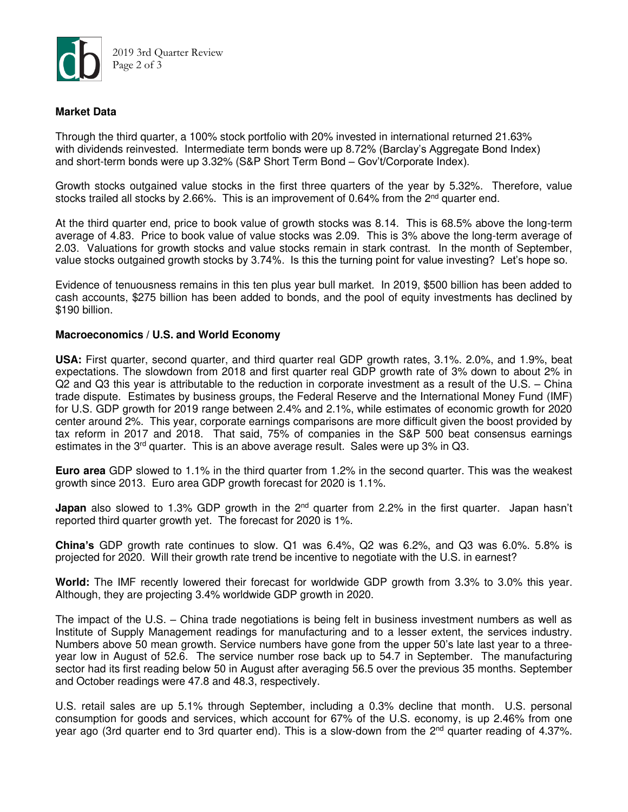

## **Market Data**

Through the third quarter, a 100% stock portfolio with 20% invested in international returned 21.63% with dividends reinvested. Intermediate term bonds were up 8.72% (Barclay's Aggregate Bond Index) and short-term bonds were up 3.32% (S&P Short Term Bond – Gov't/Corporate Index).

Growth stocks outgained value stocks in the first three quarters of the year by 5.32%. Therefore, value stocks trailed all stocks by 2.66%. This is an improvement of 0.64% from the  $2^{nd}$  quarter end.

At the third quarter end, price to book value of growth stocks was 8.14. This is 68.5% above the long-term average of 4.83. Price to book value of value stocks was 2.09. This is 3% above the long-term average of 2.03. Valuations for growth stocks and value stocks remain in stark contrast. In the month of September, value stocks outgained growth stocks by 3.74%. Is this the turning point for value investing? Let's hope so.

Evidence of tenuousness remains in this ten plus year bull market. In 2019, \$500 billion has been added to cash accounts, \$275 billion has been added to bonds, and the pool of equity investments has declined by \$190 billion.

### **Macroeconomics / U.S. and World Economy**

**USA:** First quarter, second quarter, and third quarter real GDP growth rates, 3.1%. 2.0%, and 1.9%, beat expectations. The slowdown from 2018 and first quarter real GDP growth rate of 3% down to about 2% in Q2 and Q3 this year is attributable to the reduction in corporate investment as a result of the U.S. – China trade dispute. Estimates by business groups, the Federal Reserve and the International Money Fund (IMF) for U.S. GDP growth for 2019 range between 2.4% and 2.1%, while estimates of economic growth for 2020 center around 2%. This year, corporate earnings comparisons are more difficult given the boost provided by tax reform in 2017 and 2018. That said, 75% of companies in the S&P 500 beat consensus earnings estimates in the 3rd quarter. This is an above average result. Sales were up 3% in Q3.

**Euro area** GDP slowed to 1.1% in the third quarter from 1.2% in the second quarter. This was the weakest growth since 2013. Euro area GDP growth forecast for 2020 is 1.1%.

**Japan** also slowed to 1.3% GDP growth in the 2<sup>nd</sup> quarter from 2.2% in the first quarter. Japan hasn't reported third quarter growth yet. The forecast for 2020 is 1%.

**China's** GDP growth rate continues to slow. Q1 was 6.4%, Q2 was 6.2%, and Q3 was 6.0%. 5.8% is projected for 2020. Will their growth rate trend be incentive to negotiate with the U.S. in earnest?

**World:** The IMF recently lowered their forecast for worldwide GDP growth from 3.3% to 3.0% this year. Although, they are projecting 3.4% worldwide GDP growth in 2020.

The impact of the U.S. – China trade negotiations is being felt in business investment numbers as well as Institute of Supply Management readings for manufacturing and to a lesser extent, the services industry. Numbers above 50 mean growth. Service numbers have gone from the upper 50's late last year to a threeyear low in August of 52.6. The service number rose back up to 54.7 in September. The manufacturing sector had its first reading below 50 in August after averaging 56.5 over the previous 35 months. September and October readings were 47.8 and 48.3, respectively.

U.S. retail sales are up 5.1% through September, including a 0.3% decline that month. U.S. personal consumption for goods and services, which account for 67% of the U.S. economy, is up 2.46% from one year ago (3rd quarter end to 3rd quarter end). This is a slow-down from the 2<sup>nd</sup> quarter reading of 4.37%.